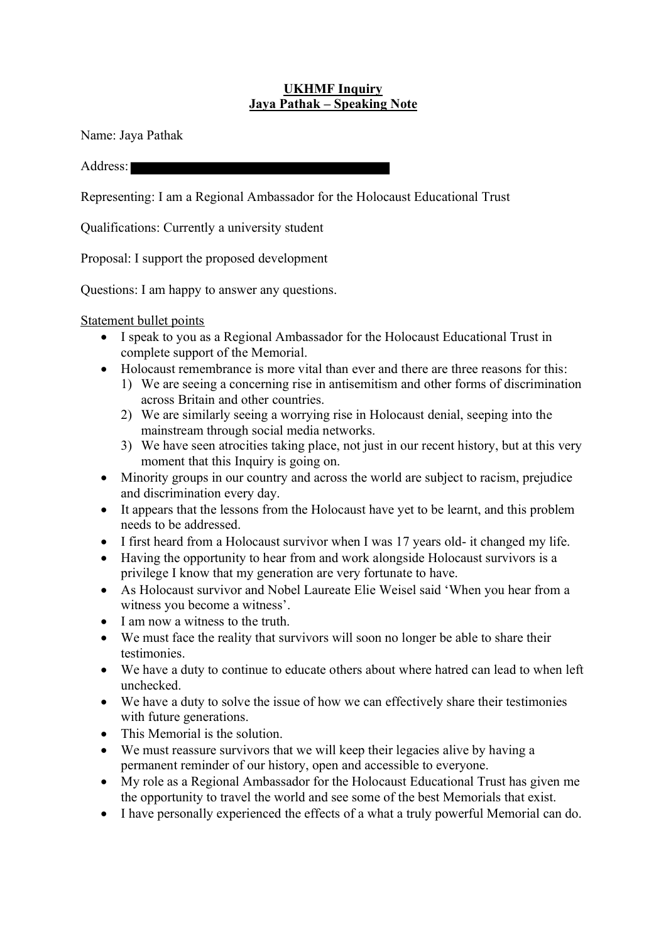## **UKHMF Inquiry Jaya Pathak – Speaking Note**

Name: Jaya Pathak

Address:

Representing: I am a Regional Ambassador for the Holocaust Educational Trust

Qualifications: Currently a university student

Proposal: I support the proposed development

Questions: I am happy to answer any questions.

Statement bullet points

- I speak to you as a Regional Ambassador for the Holocaust Educational Trust in complete support of the Memorial.
- Holocaust remembrance is more vital than ever and there are three reasons for this:
	- 1) We are seeing a concerning rise in antisemitism and other forms of discrimination across Britain and other countries.
	- 2) We are similarly seeing a worrying rise in Holocaust denial, seeping into the mainstream through social media networks.
	- 3) We have seen atrocities taking place, not just in our recent history, but at this very moment that this Inquiry is going on.
- Minority groups in our country and across the world are subject to racism, prejudice and discrimination every day.
- It appears that the lessons from the Holocaust have yet to be learnt, and this problem needs to be addressed.
- I first heard from a Holocaust survivor when I was 17 years old- it changed my life.
- Having the opportunity to hear from and work alongside Holocaust survivors is a privilege I know that my generation are very fortunate to have.
- As Holocaust survivor and Nobel Laureate Elie Weisel said 'When you hear from a witness you become a witness'.
- I am now a witness to the truth.
- We must face the reality that survivors will soon no longer be able to share their testimonies.
- We have a duty to continue to educate others about where hatred can lead to when left unchecked.
- We have a duty to solve the issue of how we can effectively share their testimonies with future generations.
- This Memorial is the solution.
- We must reassure survivors that we will keep their legacies alive by having a permanent reminder of our history, open and accessible to everyone.
- My role as a Regional Ambassador for the Holocaust Educational Trust has given me the opportunity to travel the world and see some of the best Memorials that exist.
- I have personally experienced the effects of a what a truly powerful Memorial can do.